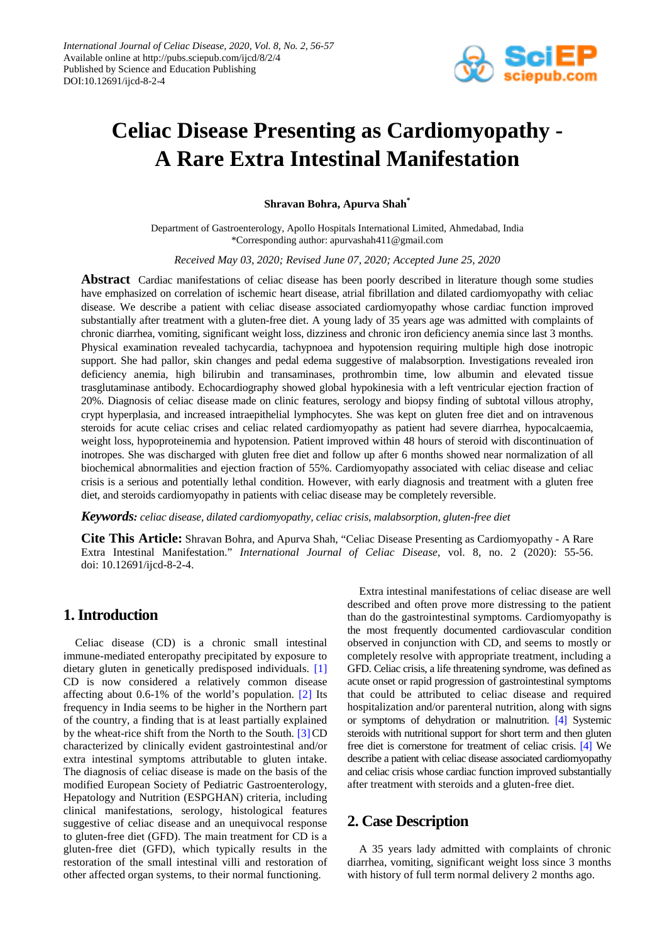

# **Celiac Disease Presenting as Cardiomyopathy - A Rare Extra Intestinal Manifestation**

**Shravan Bohra, Apurva Shah\***

Department of Gastroenterology, Apollo Hospitals International Limited, Ahmedabad, India \*Corresponding author: apurvashah411@gmail.com

*Received May 03, 2020; Revised June 07, 2020; Accepted June 25, 2020*

**Abstract** Cardiac manifestations of celiac disease has been poorly described in literature though some studies have emphasized on correlation of ischemic heart disease, atrial fibrillation and dilated cardiomyopathy with celiac disease. We describe a patient with celiac disease associated cardiomyopathy whose cardiac function improved substantially after treatment with a gluten-free diet. A young lady of 35 years age was admitted with complaints of chronic diarrhea, vomiting, significant weight loss, dizziness and chronic iron deficiency anemia since last 3 months. Physical examination revealed tachycardia, tachypnoea and hypotension requiring multiple high dose inotropic support. She had pallor, skin changes and pedal edema suggestive of malabsorption. Investigations revealed iron deficiency anemia, high bilirubin and transaminases, prothrombin time, low albumin and elevated tissue trasglutaminase antibody. Echocardiography showed global hypokinesia with a left ventricular ejection fraction of 20%. Diagnosis of celiac disease made on clinic features, serology and biopsy finding of subtotal villous atrophy, crypt hyperplasia, and increased intraepithelial lymphocytes. She was kept on gluten free diet and on intravenous steroids for acute celiac crises and celiac related cardiomyopathy as patient had severe diarrhea, hypocalcaemia, weight loss, hypoproteinemia and hypotension. Patient improved within 48 hours of steroid with discontinuation of inotropes. She was discharged with gluten free diet and follow up after 6 months showed near normalization of all biochemical abnormalities and ejection fraction of 55%. Cardiomyopathy associated with celiac disease and celiac crisis is a serious and potentially lethal condition. However, with early diagnosis and treatment with a gluten free diet, and steroids cardiomyopathy in patients with celiac disease may be completely reversible.

#### *Keywords: celiac disease, dilated cardiomyopathy, celiac crisis, malabsorption, gluten-free diet*

**Cite This Article:** Shravan Bohra, and Apurva Shah, "Celiac Disease Presenting as Cardiomyopathy - A Rare Extra Intestinal Manifestation." *International Journal of Celiac Disease*, vol. 8, no. 2 (2020): 55-56. doi: 10.12691/ijcd-8-2-4.

### **1. Introduction**

Celiac disease (CD) is a chronic small intestinal immune-mediated enteropathy precipitated by exposure to dietary gluten in genetically predisposed individuals. [\[1\]](#page-1-0) CD is now considered a relatively common disease affecting about 0.6-1% of the world's population. [\[2\]](#page-1-1) Its frequency in India seems to be higher in the Northern part of the country, a finding that is at least partially explained by the wheat-rice shift from the North to the South.  $[3]$ CD characterized by clinically evident gastrointestinal and/or extra intestinal symptoms attributable to gluten intake. The diagnosis of celiac disease is made on the basis of the modified European Society of Pediatric Gastroenterology, Hepatology and Nutrition (ESPGHAN) criteria, including clinical manifestations, serology, histological features suggestive of celiac disease and an unequivocal response to gluten-free diet (GFD). The main treatment for CD is a gluten-free diet (GFD), which typically results in the restoration of the small intestinal villi and restoration of other affected organ systems, to their normal functioning.

Extra intestinal manifestations of celiac disease are well described and often prove more distressing to the patient than do the gastrointestinal symptoms. Cardiomyopathy is the most frequently documented cardiovascular condition observed in conjunction with CD, and seems to mostly or completely resolve with appropriate treatment, including a GFD. Celiac crisis, a life threatening syndrome, was defined as acute onset or rapid progression of gastrointestinal symptoms that could be attributed to celiac disease and required hospitalization and/or parenteral nutrition, along with signs or symptoms of dehydration or malnutrition. [\[4\]](#page-1-3) Systemic steroids with nutritional support for short term and then gluten free diet is cornerstone for treatment of celiac crisis. [\[4\]](#page-1-3) We describe a patient with celiac disease associated cardiomyopathy and celiac crisis whose cardiac function improved substantially after treatment with steroids and a gluten-free diet.

### **2. Case Description**

A 35 years lady admitted with complaints of chronic diarrhea, vomiting, significant weight loss since 3 months with history of full term normal delivery 2 months ago.